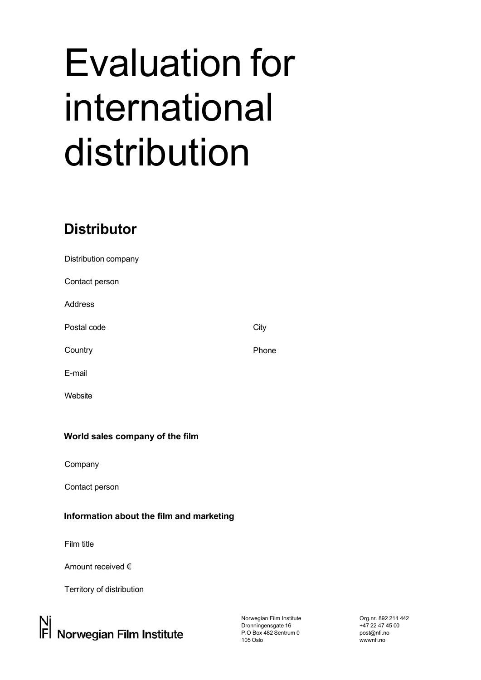## Evaluation for international distribution

## **Distributor**

| City  |
|-------|
| Phone |
|       |
|       |
|       |
|       |

## **World sales company of the film**

Company

Contact person

## **Information about the film and marketing**

Film title

Amount received €

Territory of distribution

Norwegian Film Institute Dronningensgate 16 P.O Box 482 Sentrum 0 105 Oslo

Org.nr. 892 211 442 +47 22 47 45 00 [post@nfi.no](mailto:post@nfi.no)  wwwnfi.no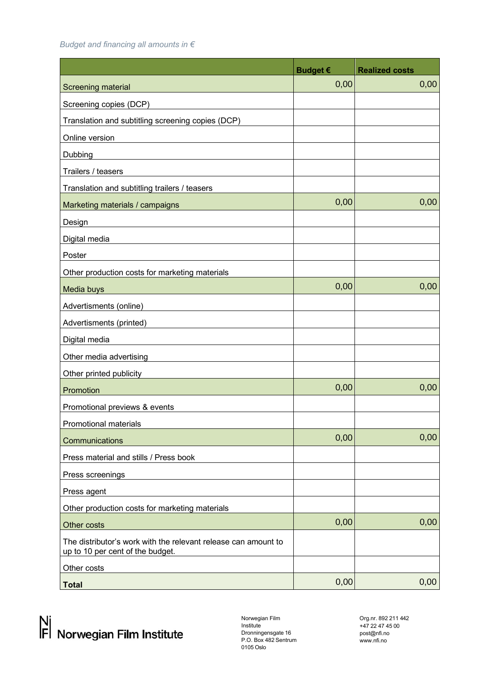*Budget and financing all amounts in €* 

|                                                                                                    | <b>Budget €</b> | <b>Realized costs</b> |
|----------------------------------------------------------------------------------------------------|-----------------|-----------------------|
| Screening material                                                                                 | 0,00            | 0,00                  |
| Screening copies (DCP)                                                                             |                 |                       |
| Translation and subtitling screening copies (DCP)                                                  |                 |                       |
| Online version                                                                                     |                 |                       |
| Dubbing                                                                                            |                 |                       |
| Trailers / teasers                                                                                 |                 |                       |
| Translation and subtitling trailers / teasers                                                      |                 |                       |
| Marketing materials / campaigns                                                                    | 0,00            | 0,00                  |
| Design                                                                                             |                 |                       |
| Digital media                                                                                      |                 |                       |
| Poster                                                                                             |                 |                       |
| Other production costs for marketing materials                                                     |                 |                       |
| Media buys                                                                                         | 0,00            | 0,00                  |
| Advertisments (online)                                                                             |                 |                       |
| Advertisments (printed)                                                                            |                 |                       |
| Digital media                                                                                      |                 |                       |
| Other media advertising                                                                            |                 |                       |
| Other printed publicity                                                                            |                 |                       |
| Promotion                                                                                          | 0,00            | 0,00                  |
| Promotional previews & events                                                                      |                 |                       |
| Promotional materials                                                                              |                 |                       |
| Communications                                                                                     | 0,00            | 0,00                  |
| Press material and stills / Press book                                                             |                 |                       |
| Press screenings                                                                                   |                 |                       |
| Press agent                                                                                        |                 |                       |
| Other production costs for marketing materials                                                     |                 |                       |
| Other costs                                                                                        | 0,00            | 0,00                  |
| The distributor's work with the relevant release can amount to<br>up to 10 per cent of the budget. |                 |                       |
| Other costs                                                                                        |                 |                       |
| <b>Total</b>                                                                                       | 0,00            | 0,00                  |

Norwegian Film Institute Dronningensgate 16 P.O. Box 482 Sentrum 0105 Oslo

Org.nr. 892 211 442 +47 22 47 45 00 [post@nfi.no](mailto:post@nfi.no)  www.nfi.no